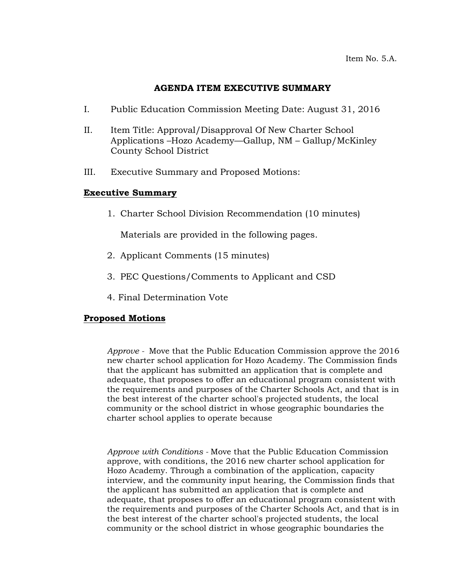#### **AGENDA ITEM EXECUTIVE SUMMARY**

- I. Public Education Commission Meeting Date: August 31, 2016
- II. Item Title: Approval/Disapproval Of New Charter School Applications –Hozo Academy—Gallup, NM – Gallup/McKinley County School District
- III. Executive Summary and Proposed Motions:

### **Executive Summary**

1. Charter School Division Recommendation (10 minutes)

Materials are provided in the following pages.

- 2. Applicant Comments (15 minutes)
- 3. PEC Questions/Comments to Applicant and CSD
- 4. Final Determination Vote

### **Proposed Motions**

*Approve -* Move that the Public Education Commission approve the 2016 new charter school application for Hozo Academy. The Commission finds that the applicant has submitted an application that is complete and adequate, that proposes to offer an educational program consistent with the requirements and purposes of the Charter Schools Act, and that is in the best interest of the charter school's projected students, the local community or the school district in whose geographic boundaries the charter school applies to operate because

*Approve with Conditions -* Move that the Public Education Commission approve, with conditions, the 2016 new charter school application for Hozo Academy. Through a combination of the application, capacity interview, and the community input hearing, the Commission finds that the applicant has submitted an application that is complete and adequate, that proposes to offer an educational program consistent with the requirements and purposes of the Charter Schools Act, and that is in the best interest of the charter school's projected students, the local community or the school district in whose geographic boundaries the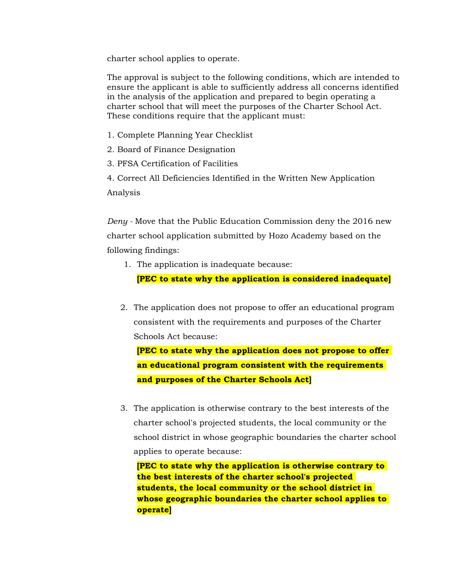charter school applies to operate.

The approval is subject to the following conditions, which are intended to ensure the applicant is able to sufficiently address all concerns identified in the analysis of the application and prepared to begin operating a charter school that will meet the purposes of the Charter School Act. These conditions require that the applicant must:

- 1. Complete Planning Year Checklist
- 2. Board of Finance Designation
- 3. PFSA Certification of Facilities
- 4. Correct All Deficiencies Identified in the Written New Application Analysis

*Deny -* Move that the Public Education Commission deny the 2016 new charter school application submitted by Hozo Academy based on the following findings:

1. The application is inadequate because:

**[PEC to state why the application is considered inadequate]**

2. The application does not propose to offer an educational program consistent with the requirements and purposes of the Charter Schools Act because:

**[PEC to state why the application does not propose to offer an educational program consistent with the requirements and purposes of the Charter Schools Act]**

3. The application is otherwise contrary to the best interests of the charter school's projected students, the local community or the school district in whose geographic boundaries the charter school applies to operate because:

**[PEC to state why the application is otherwise contrary to the best interests of the charter school's projected students, the local community or the school district in whose geographic boundaries the charter school applies to operate]**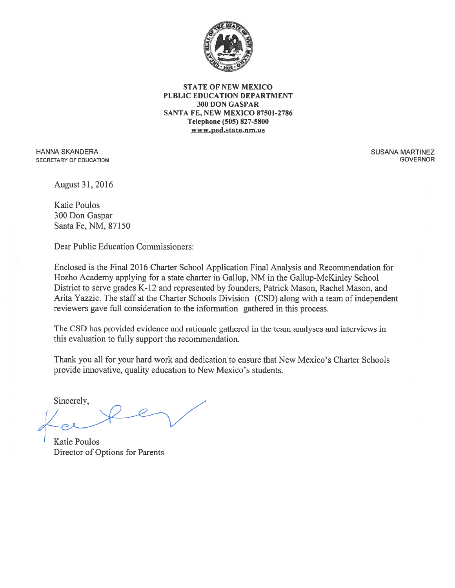

**STATE OF NEW MEXICO** PUBLIC EDUCATION DEPARTMENT 300 DON GASPAR SANTA FE, NEW MEXICO 87501-2786 Telephone (505) 827-5800 www.ped.state.nm.us

**HANNA SKANDERA** SECRETARY OF EDUCATION **SUSANA MARTINEZ GOVERNOR** 

August 31, 2016

**Katie Poulos** 300 Don Gaspar Santa Fe, NM, 87150

Dear Public Education Commissioners:

Enclosed is the Final 2016 Charter School Application Final Analysis and Recommendation for Hozho Academy applying for a state charter in Gallup, NM in the Gallup-McKinley School District to serve grades K-12 and represented by founders, Patrick Mason, Rachel Mason, and Arita Yazzie. The staff at the Charter Schools Division (CSD) along with a team of independent reviewers gave full consideration to the information gathered in this process.

The CSD has provided evidence and rationale gathered in the team analyses and interviews in this evaluation to fully support the recommendation.

Thank you all for your hard work and dedication to ensure that New Mexico's Charter Schools provide innovative, quality education to New Mexico's students.

Sincerely,

**Katie Poulos** Director of Options for Parents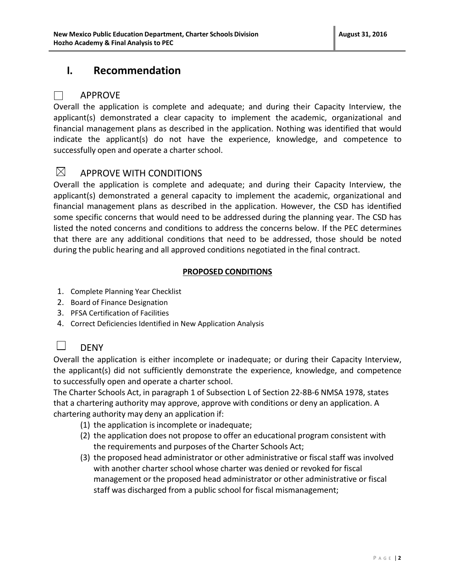## **I. Recommendation**

#### APPROVE

 $\blacksquare$ 

Overall the application is complete and adequate; and during their Capacity Interview, the applicant(s) demonstrated a clear capacity to implement the academic, organizational and financial management plans as described in the application. Nothing was identified that would indicate the applicant(s) do not have the experience, knowledge, and competence to successfully open and operate a charter school.

#### $\boxtimes$ APPROVE WITH CONDITIONS

Overall the application is complete and adequate; and during their Capacity Interview, the applicant(s) demonstrated a general capacity to implement the academic, organizational and financial management plans as described in the application. However, the CSD has identified some specific concerns that would need to be addressed during the planning year. The CSD has listed the noted concerns and conditions to address the concerns below. If the PEC determines that there are any additional conditions that need to be addressed, those should be noted during the public hearing and all approved conditions negotiated in the final contract.

#### **PROPOSED CONDITIONS**

- 1. Complete Planning Year Checklist
- 2. Board of Finance Designation
- 3. PFSA Certification of Facilities
- 4. Correct Deficiencies Identified in New Application Analysis

#### DENY  $\Box$

Overall the application is either incomplete or inadequate; or during their Capacity Interview, the applicant(s) did not sufficiently demonstrate the experience, knowledge, and competence to successfully open and operate a charter school.

The Charter Schools Act, in paragraph 1 of Subsection L of Section 22-8B-6 NMSA 1978, states that a chartering authority may approve, approve with conditions or deny an application. A chartering authority may deny an application if:

- (1) the application is incomplete or inadequate;
- (2) the application does not propose to offer an educational program consistent with the requirements and purposes of the Charter Schools Act;
- (3) the proposed head administrator or other administrative or fiscal staff was involved with another charter school whose charter was denied or revoked for fiscal management or the proposed head administrator or other administrative or fiscal staff was discharged from a public school for fiscal mismanagement;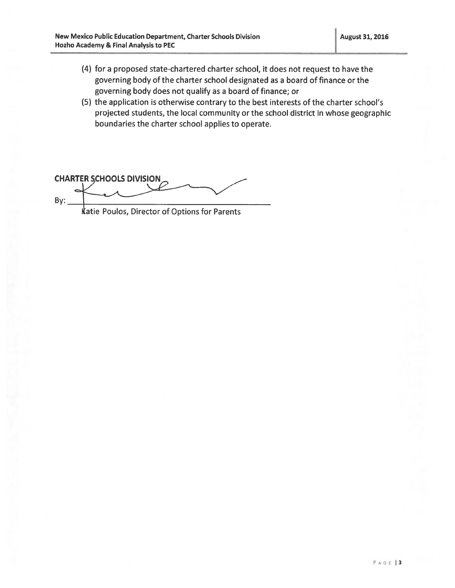- (4) for a proposed state-chartered charter school, it does not request to have the governing body of the charter school designated as a board of finance or the governing body does not qualify as a board of finance; or
- (5) the application is otherwise contrary to the best interests of the charter school's projected students, the local community or the school district in whose geographic boundaries the charter school applies to operate.

**CHARTER SCHOOLS DIVISION**  $By:$ 

Katie Poulos, Director of Options for Parents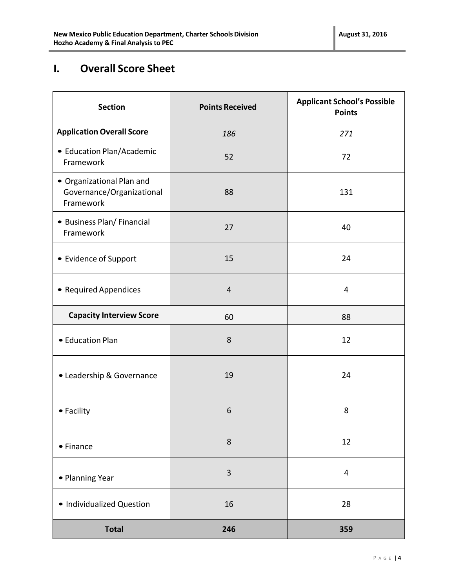# **I. Overall Score Sheet**

| <b>Section</b>                                                      | <b>Points Received</b> | <b>Applicant School's Possible</b><br><b>Points</b> |
|---------------------------------------------------------------------|------------------------|-----------------------------------------------------|
| <b>Application Overall Score</b>                                    | 186                    | 271                                                 |
| • Education Plan/Academic<br>Framework                              | 52                     | 72                                                  |
| • Organizational Plan and<br>Governance/Organizational<br>Framework | 88                     | 131                                                 |
| • Business Plan/ Financial<br>Framework                             | 27                     | 40                                                  |
| • Evidence of Support                                               | 15                     | 24                                                  |
| • Required Appendices                                               | $\overline{4}$         | 4                                                   |
| <b>Capacity Interview Score</b>                                     | 60                     | 88                                                  |
| • Education Plan                                                    | 8                      | 12                                                  |
| • Leadership & Governance                                           | 19                     | 24                                                  |
| • Facility                                                          | 6                      | 8                                                   |
| • Finance                                                           | 8                      | 12                                                  |
| • Planning Year                                                     | 3                      | 4                                                   |
| · Individualized Question                                           | 16                     | 28                                                  |
| <b>Total</b>                                                        | 246                    | 359                                                 |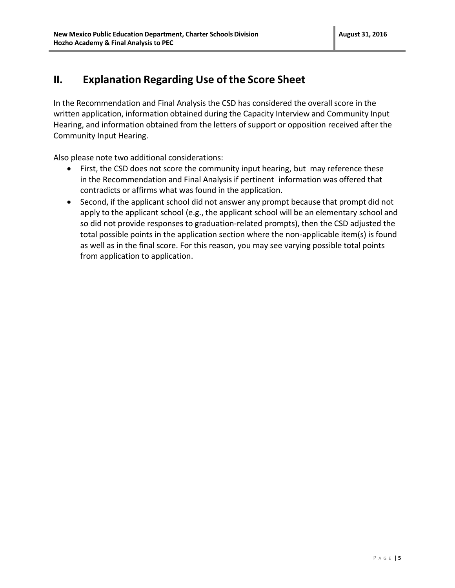## **II. Explanation Regarding Use of the Score Sheet**

In the Recommendation and Final Analysis the CSD has considered the overall score in the written application, information obtained during the Capacity Interview and Community Input Hearing, and information obtained from the letters of support or opposition received after the Community Input Hearing.

Also please note two additional considerations:

- First, the CSD does not score the community input hearing, but may reference these in the Recommendation and Final Analysis if pertinent information was offered that contradicts or affirms what was found in the application.
- Second, if the applicant school did not answer any prompt because that prompt did not apply to the applicant school (e.g., the applicant school will be an elementary school and so did not provide responses to graduation-related prompts), then the CSD adjusted the total possible points in the application section where the non-applicable item(s) is found as well as in the final score. For this reason, you may see varying possible total points from application to application.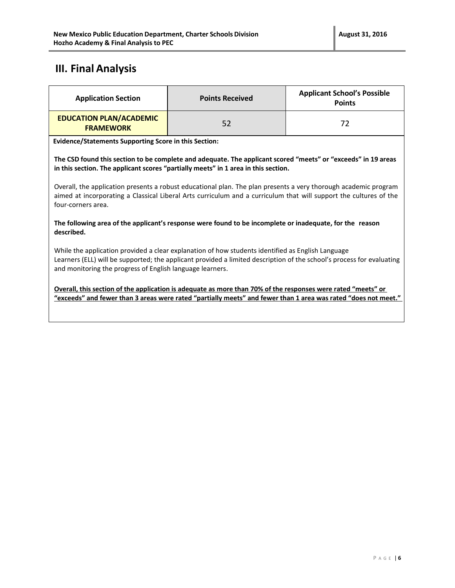# **III. Final Analysis**

| <b>Application Section</b>                                                                                                                                                                                                                                                              | <b>Points Received</b> | <b>Applicant School's Possible</b><br><b>Points</b> |
|-----------------------------------------------------------------------------------------------------------------------------------------------------------------------------------------------------------------------------------------------------------------------------------------|------------------------|-----------------------------------------------------|
| <b>EDUCATION PLAN/ACADEMIC</b><br><b>FRAMEWORK</b>                                                                                                                                                                                                                                      | 52                     | 72                                                  |
| <b>Evidence/Statements Supporting Score in this Section:</b>                                                                                                                                                                                                                            |                        |                                                     |
| The CSD found this section to be complete and adequate. The applicant scored "meets" or "exceeds" in 19 areas<br>in this section. The applicant scores "partially meets" in 1 area in this section.                                                                                     |                        |                                                     |
| Overall, the application presents a robust educational plan. The plan presents a very thorough academic program<br>aimed at incorporating a Classical Liberal Arts curriculum and a curriculum that will support the cultures of the<br>four-corners area.                              |                        |                                                     |
| The following area of the applicant's response were found to be incomplete or inadequate, for the reason<br>described.                                                                                                                                                                  |                        |                                                     |
| While the application provided a clear explanation of how students identified as English Language<br>Learners (ELL) will be supported; the applicant provided a limited description of the school's process for evaluating<br>and monitoring the progress of English language learners. |                        |                                                     |
| Overall, this section of the application is adequate as more than 70% of the responses were rated "meets" or<br>"exceeds" and fewer than 3 areas were rated "partially meets" and fewer than 1 area was rated "does not meet."                                                          |                        |                                                     |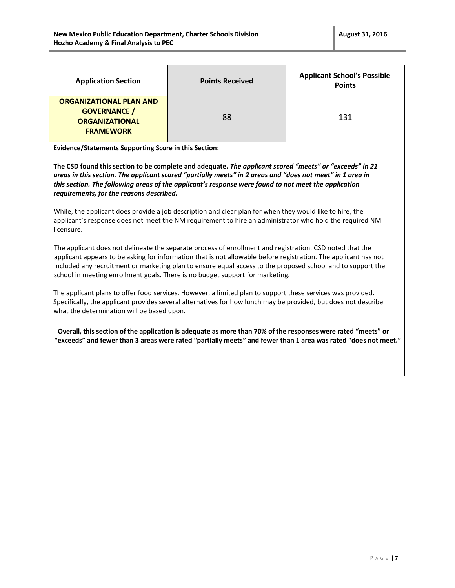| <b>Application Section</b>                                                                         | <b>Points Received</b> | <b>Applicant School's Possible</b><br><b>Points</b> |
|----------------------------------------------------------------------------------------------------|------------------------|-----------------------------------------------------|
| <b>ORGANIZATIONAL PLAN AND</b><br><b>GOVERNANCE /</b><br><b>ORGANIZATIONAL</b><br><b>FRAMEWORK</b> | 88                     | 131                                                 |

**Evidence/Statements Supporting Score in this Section:**

**The CSD found this section to be complete and adequate.** *The applicant scored "meets" or "exceeds" in 21 areas in this section. The applicant scored "partially meets" in 2 areas and "does not meet" in 1 area in this section. The following areas of the applicant's response were found to not meet the application requirements, for the reasons described.* 

While, the applicant does provide a job description and clear plan for when they would like to hire, the applicant's response does not meet the NM requirement to hire an administrator who hold the required NM licensure.

The applicant does not delineate the separate process of enrollment and registration. CSD noted that the applicant appears to be asking for information that is not allowable before registration. The applicant has not included any recruitment or marketing plan to ensure equal access to the proposed school and to support the school in meeting enrollment goals. There is no budget support for marketing.

The applicant plans to offer food services. However, a limited plan to support these services was provided. Specifically, the applicant provides several alternatives for how lunch may be provided, but does not describe what the determination will be based upon.

 **Overall, this section of the application is adequate as more than 70% of the responses were rated "meets" or "exceeds" and fewer than 3 areas were rated "partially meets" and fewer than 1 area was rated "does not meet."**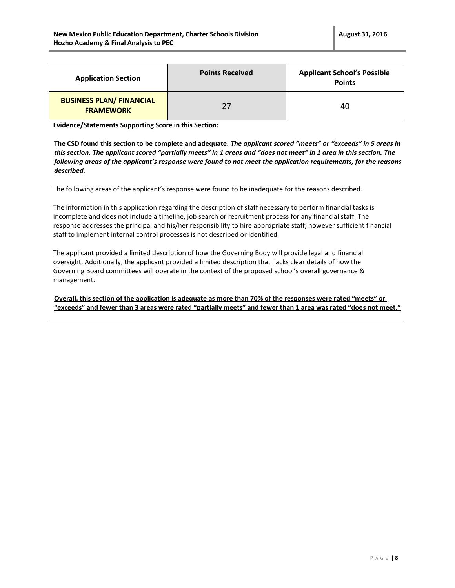| <b>Application Section</b>                          | <b>Points Received</b> | <b>Applicant School's Possible</b><br><b>Points</b> |
|-----------------------------------------------------|------------------------|-----------------------------------------------------|
| <b>BUSINESS PLAN/ FINANCIAL</b><br><b>FRAMEWORK</b> | 27                     | 40                                                  |

**Evidence/Statements Supporting Score in this Section:**

**The CSD found this section to be complete and adequate.** *The applicant scored "meets" or "exceeds" in 5 areas in this section. The applicant scored "partially meets" in 1 areas and "does not meet" in 1 area in this section. The following areas of the applicant's response were found to not meet the application requirements, for the reasons described.* 

The following areas of the applicant's response were found to be inadequate for the reasons described.

The information in this application regarding the description of staff necessary to perform financial tasks is incomplete and does not include a timeline, job search or recruitment process for any financial staff. The response addresses the principal and his/her responsibility to hire appropriate staff; however sufficient financial staff to implement internal control processes is not described or identified.

The applicant provided a limited description of how the Governing Body will provide legal and financial oversight. Additionally, the applicant provided a limited description that lacks clear details of how the Governing Board committees will operate in the context of the proposed school's overall governance & management.

**Overall, this section of the application is adequate as more than 70% of the responses were rated "meets" or "exceeds" and fewer than 3 areas were rated "partially meets" and fewer than 1 area was rated "does not meet."**